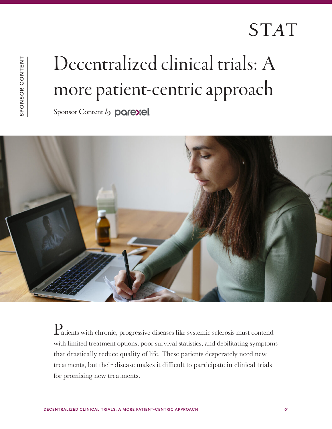## **STAT**

## Decentralized clinical trials: A more patient-centric approach

Sponsor Content by **parexel**.



Patients with chronic, progressive diseases like systemic sclerosis must contend with limited treatment options, poor survival statistics, and debilitating symptoms that drastically reduce quality of life. These patients desperately need new treatments, but their disease makes it difficult to participate in clinical trials for promising new treatments.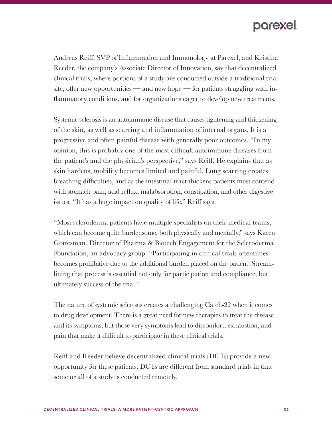## parexel.

Andreas Reiff, SVP of Inflammation and Immunology at Parexel, and Kristina Reeder, the company's Associate Director of Innovation, say that decentralized clinical trials, where portions of a study are conducted outside a traditional trial site, offer new opportunities — and new hope — for patients struggling with inflammatory conditions, and for organizations eager to develop new treatments.

Systemic sclerosis is an autoimmune disease that causes tightening and thickening of the skin, as well as scarring and inflammation of internal organs. It is a progressive and often painful disease with generally poor outcomes. "In my opinion, this is probably one of the most difficult autoimmune diseases from the patient's and the physician's perspective," says Reiff. He explains that as skin hardens, mobility becomes limited and painful. Lung scarring creates breathing difficulties, and as the intestinal tract thickens patients must contend with stomach pain, acid reflux, malabsorption, constipation, and other digestive issues. "It has a huge impact on quality of life," Reiff says.

"Most scleroderma patients have multiple specialists on their medical teams, which can become quite burdensome, both physically and mentally," says Karen Gottesman, Director of Pharma & Biotech Engagement for the Scleroderma Foundation, an advocacy group. "Participating in clinical trials oftentimes becomes prohibitive due to the additional burden placed on the patient. Streamlining that process is essential not only for participation and compliance, but ultimately success of the trial."

The nature of systemic sclerosis creates a challenging Catch-22 when it comes to drug development. There is a great need for new therapies to treat the disease and its symptoms, but those very symptoms lead to discomfort, exhaustion, and pain that make it difficult to participate in these clinical trials.

Reiff and Reeder believe decentralized clinical trials (DCTs) provide a new opportunity for these patients. DCTs are different from standard trials in that some or all of a study is conducted remotely.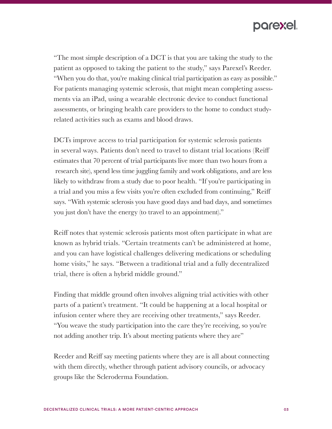

"The most simple description of a DCT is that you are taking the study to the patient as opposed to taking the patient to the study," says Parexel's Reeder. "When you do that, you're making clinical trial participation as easy as possible." For patients managing systemic sclerosis, that might mean completing assessments via an iPad, using a wearable electronic device to conduct functional assessments, or bringing health care providers to the home to conduct studyrelated activities such as exams and blood draws.

DCTs improve access to trial participation for systemic sclerosis patients in several ways. Patients don't need to travel to distant trial locations (Reiff estimates that 70 percent of trial participants live more than two hours from a research site), spend less time juggling family and work obligations, and are less likely to withdraw from a study due to poor health. "If you're participating in a trial and you miss a few visits you're often excluded from continuing," Reiff says. "With systemic sclerosis you have good days and bad days, and sometimes you just don't have the energy (to travel to an appointment)."

Reiff notes that systemic sclerosis patients most often participate in what are known as hybrid trials. "Certain treatments can't be administered at home, and you can have logistical challenges delivering medications or scheduling home visits," he says. "Between a traditional trial and a fully decentralized trial, there is often a hybrid middle ground."

Finding that middle ground often involves aligning trial activities with other parts of a patient's treatment. "It could be happening at a local hospital or infusion center where they are receiving other treatments," says Reeder. "You weave the study participation into the care they're receiving, so you're not adding another trip. It's about meeting patients where they are"

Reeder and Reiff say meeting patients where they are is all about connecting with them directly, whether through patient advisory councils, or advocacy groups like the Scleroderma Foundation.